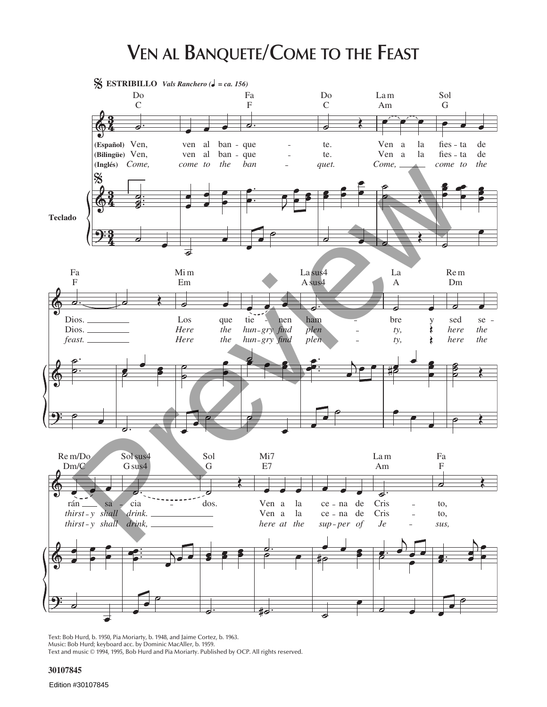## **VEN AL BANQUETE/COME TO THE FEAST**



Text: Bob Hurd, b. 1950, Pia Moriarty, b. 1948, and Jaime Cortez, b. 1963. Music: Bob Hurd; keyboard acc. by Dominic MacAller, b. 1959.<br>Text and music © 1994, 1995, Bob Hurd and Pia Moriarty. Published by OCP. All rights reserved.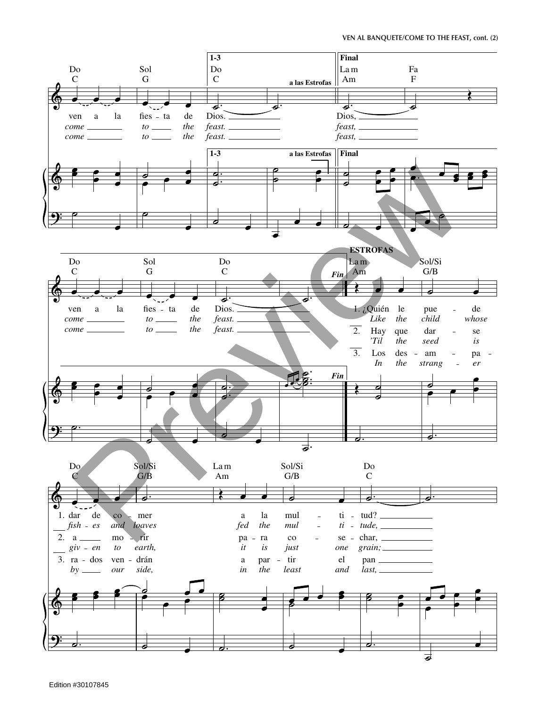**VEN AL BANQUETE/COME TO THE FEAST, cont. (2)**